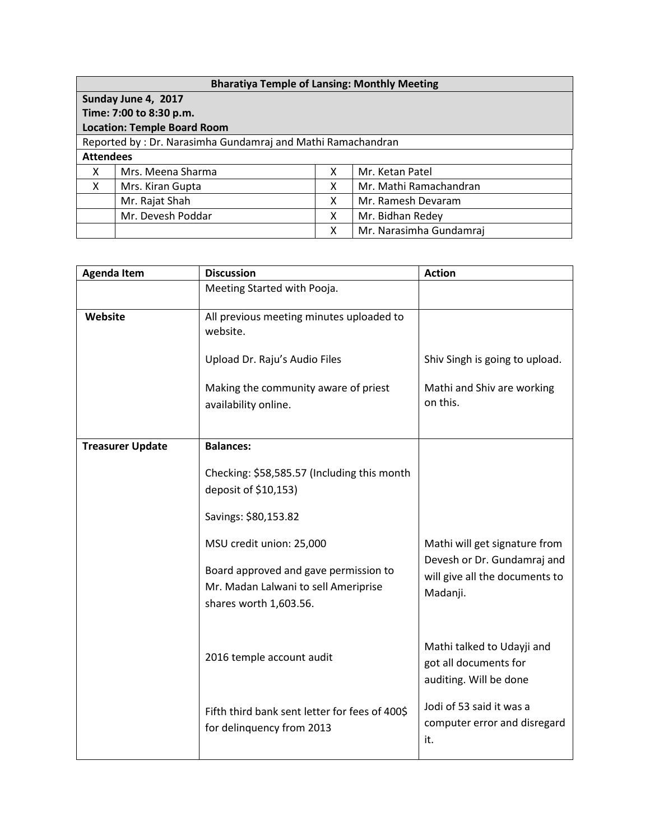| <b>Bharatiya Temple of Lansing: Monthly Meeting</b>         |                   |   |                         |  |  |  |
|-------------------------------------------------------------|-------------------|---|-------------------------|--|--|--|
| Sunday June 4, 2017                                         |                   |   |                         |  |  |  |
| Time: 7:00 to 8:30 p.m.                                     |                   |   |                         |  |  |  |
| <b>Location: Temple Board Room</b>                          |                   |   |                         |  |  |  |
| Reported by: Dr. Narasimha Gundamraj and Mathi Ramachandran |                   |   |                         |  |  |  |
| <b>Attendees</b>                                            |                   |   |                         |  |  |  |
| X                                                           | Mrs. Meena Sharma | X | Mr. Ketan Patel         |  |  |  |
| X                                                           | Mrs. Kiran Gupta  | х | Mr. Mathi Ramachandran  |  |  |  |
|                                                             | Mr. Rajat Shah    | х | Mr. Ramesh Devaram      |  |  |  |
|                                                             | Mr. Devesh Poddar | X | Mr. Bidhan Redey        |  |  |  |
|                                                             |                   | х | Mr. Narasimha Gundamraj |  |  |  |

| <b>Agenda Item</b>      | <b>Discussion</b>                                                                                       | <b>Action</b>                                                                 |
|-------------------------|---------------------------------------------------------------------------------------------------------|-------------------------------------------------------------------------------|
|                         | Meeting Started with Pooja.                                                                             |                                                                               |
| Website                 | All previous meeting minutes uploaded to<br>website.                                                    |                                                                               |
|                         | Upload Dr. Raju's Audio Files                                                                           | Shiv Singh is going to upload.                                                |
|                         | Making the community aware of priest<br>availability online.                                            | Mathi and Shiv are working<br>on this.                                        |
| <b>Treasurer Update</b> | <b>Balances:</b>                                                                                        |                                                                               |
|                         | Checking: \$58,585.57 (Including this month<br>deposit of \$10,153)                                     |                                                                               |
|                         | Savings: \$80,153.82                                                                                    |                                                                               |
|                         | MSU credit union: 25,000                                                                                | Mathi will get signature from                                                 |
|                         | Board approved and gave permission to<br>Mr. Madan Lalwani to sell Ameriprise<br>shares worth 1,603.56. | Devesh or Dr. Gundamraj and<br>will give all the documents to<br>Madanji.     |
|                         | 2016 temple account audit                                                                               | Mathi talked to Udayji and<br>got all documents for<br>auditing. Will be done |
|                         | Fifth third bank sent letter for fees of 400\$<br>for delinquency from 2013                             | Jodi of 53 said it was a<br>computer error and disregard<br>it.               |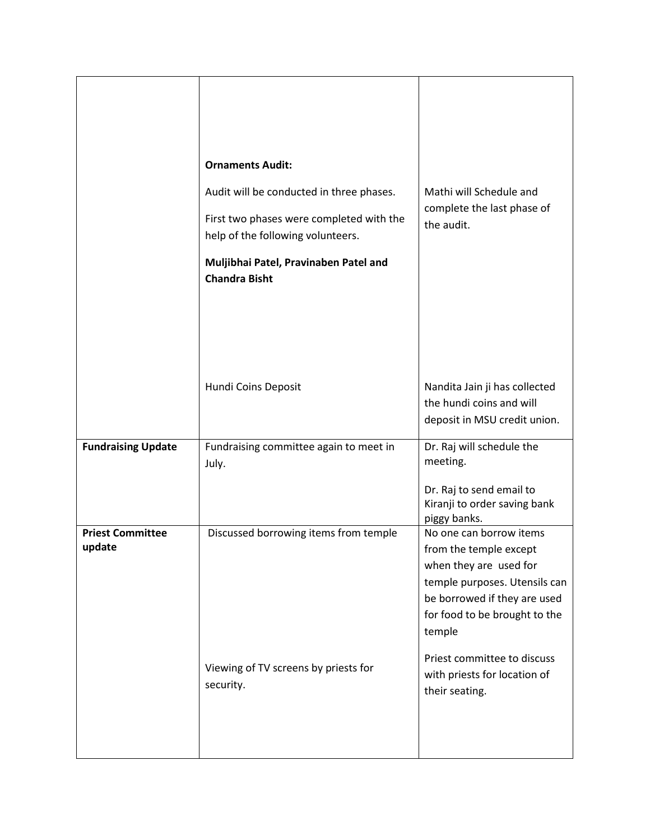|                                   | <b>Ornaments Audit:</b><br>Audit will be conducted in three phases.<br>First two phases were completed with the<br>help of the following volunteers.<br>Muljibhai Patel, Pravinaben Patel and<br><b>Chandra Bisht</b> | Mathi will Schedule and<br>complete the last phase of<br>the audit.                                                                                                                     |
|-----------------------------------|-----------------------------------------------------------------------------------------------------------------------------------------------------------------------------------------------------------------------|-----------------------------------------------------------------------------------------------------------------------------------------------------------------------------------------|
|                                   | Hundi Coins Deposit                                                                                                                                                                                                   | Nandita Jain ji has collected<br>the hundi coins and will<br>deposit in MSU credit union.                                                                                               |
| <b>Fundraising Update</b>         | Fundraising committee again to meet in<br>July.                                                                                                                                                                       | Dr. Raj will schedule the<br>meeting.<br>Dr. Raj to send email to<br>Kiranji to order saving bank<br>piggy banks.                                                                       |
| <b>Priest Committee</b><br>update | Discussed borrowing items from temple                                                                                                                                                                                 | No one can borrow items<br>from the temple except<br>when they are used for<br>temple purposes. Utensils can<br>be borrowed if they are used<br>for food to be brought to the<br>temple |
|                                   | Viewing of TV screens by priests for<br>security.                                                                                                                                                                     | Priest committee to discuss<br>with priests for location of<br>their seating.                                                                                                           |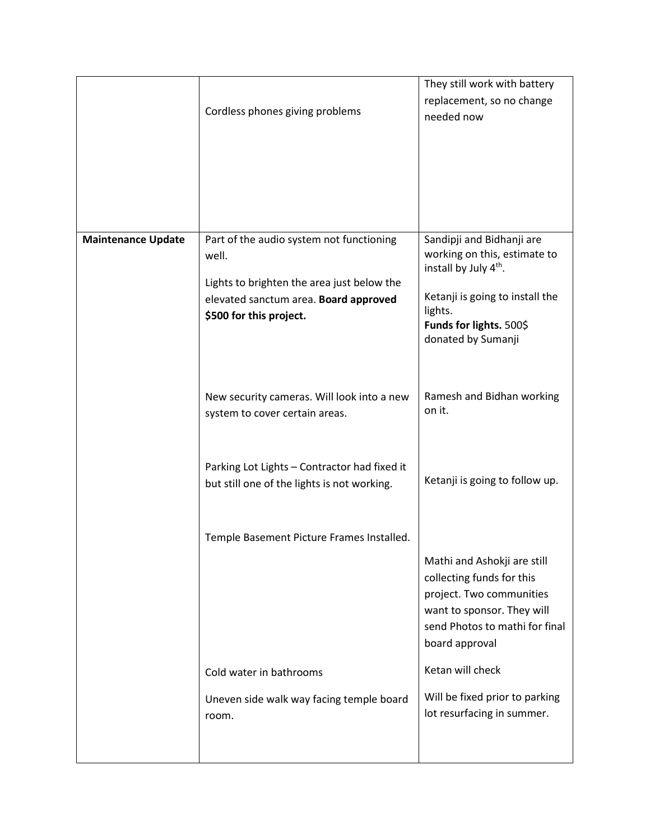|                           |                                                                              | They still work with battery<br>replacement, so no change                                      |
|---------------------------|------------------------------------------------------------------------------|------------------------------------------------------------------------------------------------|
|                           | Cordless phones giving problems                                              | needed now                                                                                     |
|                           |                                                                              |                                                                                                |
|                           |                                                                              |                                                                                                |
|                           |                                                                              |                                                                                                |
| <b>Maintenance Update</b> | Part of the audio system not functioning<br>well.                            | Sandipji and Bidhanji are<br>working on this, estimate to<br>install by July 4 <sup>th</sup> . |
|                           | Lights to brighten the area just below the                                   | Ketanji is going to install the                                                                |
|                           | elevated sanctum area. Board approved<br>\$500 for this project.             | lights.                                                                                        |
|                           |                                                                              | Funds for lights. 500\$<br>donated by Sumanji                                                  |
|                           |                                                                              |                                                                                                |
|                           | New security cameras. Will look into a new<br>system to cover certain areas. | Ramesh and Bidhan working<br>on it.                                                            |
|                           |                                                                              |                                                                                                |
|                           | Parking Lot Lights - Contractor had fixed it                                 |                                                                                                |
|                           | but still one of the lights is not working.                                  | Ketanji is going to follow up.                                                                 |
|                           |                                                                              |                                                                                                |
|                           | Temple Basement Picture Frames Installed.                                    | Mathi and Ashokji are still                                                                    |
|                           |                                                                              | collecting funds for this                                                                      |
|                           |                                                                              | project. Two communities<br>want to sponsor. They will                                         |
|                           |                                                                              | send Photos to mathi for final<br>board approval                                               |
|                           | Cold water in bathrooms                                                      | Ketan will check                                                                               |
|                           | Uneven side walk way facing temple board                                     | Will be fixed prior to parking<br>lot resurfacing in summer.                                   |
|                           | room.                                                                        |                                                                                                |
|                           |                                                                              |                                                                                                |